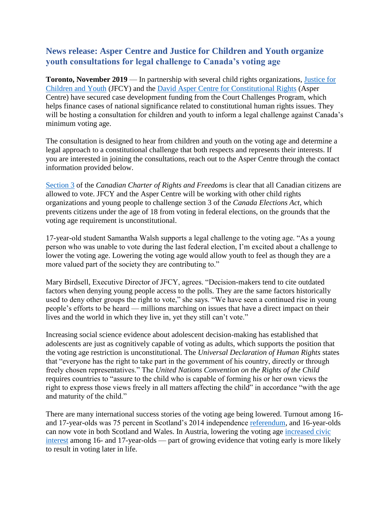# **News release: Asper Centre and Justice for Children and Youth organize youth consultations for legal challenge to Canada's voting age**

**Toronto, November 2019** — In partnership with several child rights organizations, [Justice for](https://jfcy.org/en/about-us/)  [Children and Youth](https://jfcy.org/en/about-us/) (JFCY) and the [David Asper Centre for Constitutional Rights](https://aspercentre.ca/) (Asper Centre) have secured case development funding from the Court Challenges Program, which helps finance cases of national significance related to constitutional human rights issues. They will be hosting a consultation for children and youth to inform a legal challenge against Canada's minimum voting age.

The consultation is designed to hear from children and youth on the voting age and determine a legal approach to a constitutional challenge that both respects and represents their interests. If you are interested in joining the consultations, reach out to the Asper Centre through the contact information provided below.

[Section 3](https://laws-lois.justice.gc.ca/eng/const/page-15.html) of the *Canadian Charter of Rights and Freedoms* is clear that all Canadian citizens are allowed to vote. JFCY and the Asper Centre will be working with other child rights organizations and young people to challenge section 3 of the *Canada Elections Act*, which prevents citizens under the age of 18 from voting in federal elections, on the grounds that the voting age requirement is unconstitutional.

17-year-old student Samantha Walsh supports a legal challenge to the voting age. "As a young person who was unable to vote during the last federal election, I'm excited about a challenge to lower the voting age. Lowering the voting age would allow youth to feel as though they are a more valued part of the society they are contributing to."

Mary Birdsell, Executive Director of JFCY, agrees. "Decision-makers tend to cite outdated factors when denying young people access to the polls. They are the same factors historically used to deny other groups the right to vote," she says. "We have seen a continued rise in young people's efforts to be heard — millions marching on issues that have a direct impact on their lives and the world in which they live in, yet they still can't vote."

Increasing social science evidence about adolescent decision-making has established that adolescents are just as cognitively capable of voting as adults, which supports the position that the voting age restriction is unconstitutional. The *Universal Declaration of Human Rights* states that "everyone has the right to take part in the government of his country, directly or through freely chosen representatives." The *United Nations Convention on the Rights of the Child* requires countries to "assure to the child who is capable of forming his or her own views the right to express those views freely in all matters affecting the child" in accordance "with the age and maturity of the child."

There are many international success stories of the voting age being lowered. Turnout among 16 and 17-year-olds was 75 percent in Scotland's 2014 independence [referendum,](http://www.electoralcommission.org.uk/sites/default/files/pdf_file/Scottish-independence-referendum-report.pdf) and 16-year-olds can now vote in both Scotland and Wales. In Austria, lowering the voting age [increased civic](http://doi.org/10.1080/13676261.2013.793785)  [interest](http://doi.org/10.1080/13676261.2013.793785) among 16- and 17-year-olds — part of growing evidence that voting early is more likely to result in voting later in life.